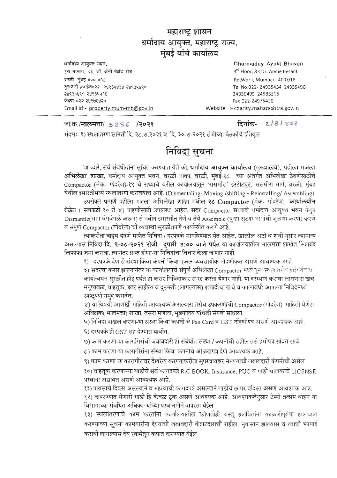## महाराष्ट्र शासन थर्मादाय आयुक्त, महाराष्ट्र राज्य, मंबई यांचे कार्यालय

"'"= 3!1'J'ffi >l<R, Dharmaday Ayukt Shavan **3श मजला, ८३, डॉ. ॲनी बेझंट रोड,** वरळी, मुंबई ४०० ०१८. <~~'o ~~ ~ <~~, ""9, 24930499 249355 16 o:?~-::?,d l9W ~o Fax-022 -249 764?0 Emailld:-property.mum-mh@gov.in **Website :- charity.mahara shtra.gov.ln** 

lI>'Ii<!>o« - <~ ~," ~ q,, <sup>o</sup>Tel No .022 - 24935434 24935490

जा.क्र./**मालमत्ता**/ s 2 S 6 /२०२१ दिनांक- 2 / 8 / २०२

संदर्भः- १) स्थलांतरण समिती दि. २८.७.२०२१ व दि. ३०-७-२०२१ रोजीच्या बैठकीचे इतिवृत्त

## <u>निविदा</u> सुचना

या व्यारे, सर्व संबंधीतांना सुचित करण्यात येते की, धर्मादाय आयुक्त कार्यालय (मुख्यालय), पहीला मजला<br>अभिलेखा **शाखा,** धर्मादाय आयुक्त भवन, वरळी नाका, वरळी, मुंबई-१८ च्या अंतर्गत अभिलेखा ठेवणेसाठीचे -'>--- ~ -" \_--'- ---A-. < " , • , , < ,. < Compactor (मेक- गोदरेज)-१९ चे सध्याचे वरील कार्यालयातून 'ससमीरा' इंस्टीट्यूट, ससमीरा मार्ग, वरळी, मुंबई येथील इमारतीमध्ये स्थलांतरण करावयाचे आहे. (Dismentaling- Moving /shifting - Reinstalling/ Assembling)

उपरोक्त प्रमाणे पहीला मजला अभिलेखा शाखा मधील १८-Compactor (मेक- गोदरेज)- कार्यालयीन वेळेत ( सकाळी १० ते ४) पाहणीसाठी उपलब्ध आहेत. सदर Compactor सध्याचे धर्मादाव आवुक्त भवन येथून Dismantle(भाग वेगवेगळे करून) ते नवीन इमारतीत नेणे व तेथे Assemble (पुन्हा सुट्या भागांची जुळणा करण) करणे व संपूर्ण Compactor (गोदरेज) ची व्यवस्था सुरळीतपणे कार्यान्वीत करणे आहे.

त्याकरीता बाह्रय यंत्रणे मार्फत निविदा / दरपत्रके मार्गावण्यात येत आहेत. खालील अटी व शर्थी नुसार त्यामान्य ्त्याकरीता बाह्य यंत्रणे माफेत निविदा / दरपत्रके मार्गावण्यात येत आहेत. खालील अटी व शथी नुसार त्यामान्य<br>असल्यास निविदा **दि. ९-०८-२०२१ रोजी दुपारी ४:०० वाजे पर्यंत** या कार्यालयातील मालमत्ता शाखेत सिलबंद<br>लिफ्ग्राफ जम्म लिफाफा जमा करावा. त्यानंतर प्राप्त होणा-या निर्विदांचा विचार केला जाणार नाही.

१) - दरपत्रके देणारी संस्था किंवा कंपनी किंवा एकल व्यवसायीक नोंदणीकत असणे आवश्यक आहे.

३) सदरचा करार झाल्यानंतर या कार्यालयाचे संपूर्ण अभिलेखा Compactor मध्ये पुनः स्थलांतरीत हाईपर्यंत व कार्यान्वयन सुरळीत होई पर्यंत हा करार निविदाकारास रद्द करता येणार नाही. या दरम्यान करावा लागणारा खर्च<br>मनुष्यबळ, वाहतुक, इतर साहीत्य व दरूस्ती (लागल्यास) इत्यादींचा खर्च व कालावधी आपल्या निविदेमध्ये मनुष्यबळ, वाहतुक, इतर साहीत्य व दुरूस्ती (लागल्यास) इत्यादींचा खर्च व कालावधी आपल्या निविदेमध्ये स्पष्ट्पणे नमुद करावेत.

४) या विषयी आणखी माहिती आवश्यक असल्यास तसेच उपकरणाची Compactor (गोदरेज) माहिती घेणेस अधिक्षक( मालमत्ता) शाखा, तसरा मजला, मुख्यालय यांचेशी संपर्क साधावा.

५) निविदा दाखल करणा-या संस्था किंवा कंपनी चे Pan Card व GST नोंदणीपत्र असणे आवश्यक आहे.

 $\epsilon$ ) दरपत्रके ही GST सह देण्यात यावीत.

<u>७) काम करणा-या कारागिरांची जबाबदारी ही संबंधीत संस्था / कंपनीची राहील तसे हमीपत्र सोबत द्यावे.</u>

८) काम करणा-या कारागीरांना संस्था किंवा कंपनीचे ओळखपत्र देणे आवश्यक आहे.

) काम करणा-या कारागीरावर देखरेख करण्याकरीता सुपरवायझर नेमण्याची जबाबदारी कंपनीची असेल.

१०) बाहतूक करणाऱ्या गाडीचे सर्व कागदपत्रे R.C BOOK, Insurance, PUC व गाडी चालकाचे LICENSE परवाना अद्यावत असणे आवश्यक आहे.

रना है जाता जाता जाता जागर गए जाए.<br>१) पावसाचे दिवस असल्याने व महत्वाची कागदपत्रे असल्याने गाडीचे छप्पर बंदिस्त असणे आवश्यक आहे.

१२) वापरण्यात येणारी गाडी हि केवळ ट्रक असणे आवश्यक आहे. आवश्यकतेनुसार टेम्पो तत्सम वाहन या<br>विभागाच्या संबधित अधिकाऱ्यांच्या परवानगीने वापरता येईल<br>१३) स्थलांतरणाचे काम करतांना कार्यालयातील कोणतीही वस्तू हलवितांना क

१३) स्थलांतरणाचे काम करतांना कार्यालयातील कोणतीही वस्तू हलवितांना काळजीपूर्वक हालचाल<br>करण्याच्या सूचना कामगारांना देण्याची जबाबदारी कंत्राटदाराची राहील. नकसान झाल्यास व त्याची भरपाई करावी लागल्यास देय रकमेतून कपात करण्यात येईल.